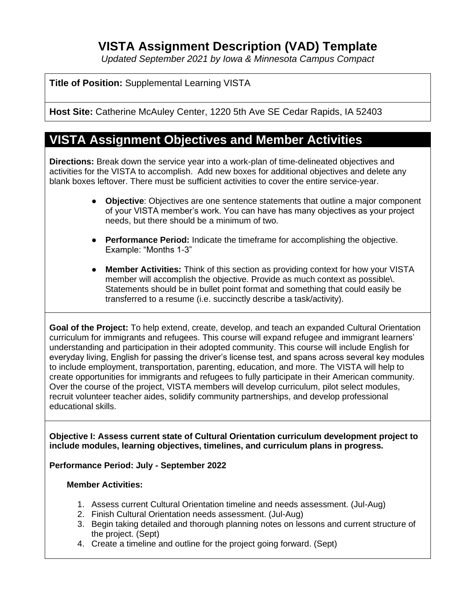# **VISTA Assignment Description (VAD) Template**

*Updated September 2021 by Iowa & Minnesota Campus Compact*

# **Title of Position:** Supplemental Learning VISTA

**Host Site:** Catherine McAuley Center, 1220 5th Ave SE Cedar Rapids, IA 52403

# **VISTA Assignment Objectives and Member Activities**

**Directions:** Break down the service year into a work-plan of time-delineated objectives and activities for the VISTA to accomplish. Add new boxes for additional objectives and delete any blank boxes leftover. There must be sufficient activities to cover the entire service-year.

- **Objective**: Objectives are one sentence statements that outline a major component of your VISTA member's work. You can have has many objectives as your project needs, but there should be a minimum of two.
- **Performance Period:** Indicate the timeframe for accomplishing the objective. Example: "Months 1-3"
- **Member Activities:** Think of this section as providing context for how your VISTA member will accomplish the objective. Provide as much context as possible\. Statements should be in bullet point format and something that could easily be transferred to a resume (i.e. succinctly describe a task/activity).

**Goal of the Project:** To help extend, create, develop, and teach an expanded Cultural Orientation curriculum for immigrants and refugees. This course will expand refugee and immigrant learners' understanding and participation in their adopted community. This course will include English for everyday living, English for passing the driver's license test, and spans across several key modules to include employment, transportation, parenting, education, and more. The VISTA will help to create opportunities for immigrants and refugees to fully participate in their American community. Over the course of the project, VISTA members will develop curriculum, pilot select modules, recruit volunteer teacher aides, solidify community partnerships, and develop professional educational skills.

**Objective I: Assess current state of Cultural Orientation curriculum development project to include modules, learning objectives, timelines, and curriculum plans in progress.** 

## **Performance Period: July - September 2022**

#### **Member Activities:**

- 1. Assess current Cultural Orientation timeline and needs assessment. (Jul-Aug)
- 2. Finish Cultural Orientation needs assessment. (Jul-Aug)
- 3. Begin taking detailed and thorough planning notes on lessons and current structure of the project. (Sept)
- 4. Create a timeline and outline for the project going forward. (Sept)